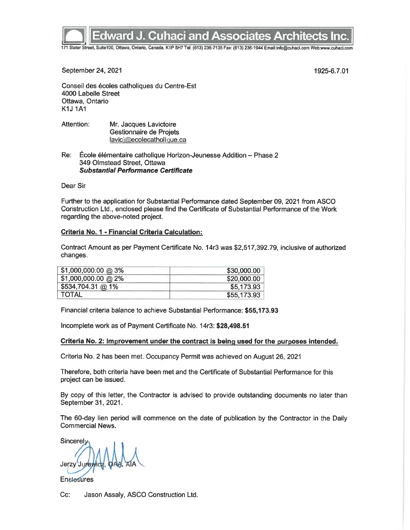

## **Edward J. Cuhaci and Associates Architects Inc.**

171 Slater Street, Suite100, Ottawa, Ontario, Canada, K1P 5H7 Tel: (613) 236-7135 Fax: (613) 236-1944 Email:info@cuhaci.com Web:www.cuhaci.com

September 24, 2021

1925-6.7.01

Conseil des écoles catholiques du Centre-Est 4000 Labelle Street Ottawa, Ontario **K1J 1A1** 

Attention: Mr. Jacques Lavictoire Gestionnaire de Projets lavicj@ecolecatholique.ca

Re: École élémentaire catholique Horizon-Jeunesse Addition - Phase 2 349 Olmstead Street, Ottawa **Substantial Performance Certificate** 

Dear Sir

Further to the application for Substantial Performance dated September 09, 2021 from ASCO Construction Ltd., enclosed please find the Certificate of Substantial Performance of the Work regarding the above-noted project.

#### Criteria No. 1 - Financial Criteria Calculation:

Contract Amount as per Payment Certificate No. 14r3 was \$2,517,392.79, inclusive of authorized changes.

| \$1,000,000.00 @ 3%  | \$30,000.00 |
|----------------------|-------------|
| $$1,000,000.00$ @ 2% | \$20,000.00 |
| \$534,704.31 @ 1%    | \$5,173.93  |
| <b>TOTAL</b>         | \$55,173.93 |

Financial criteria balance to achieve Substantial Performance: \$55.173.93

Incomplete work as of Payment Certificate No. 14r3: \$28,498.51

#### Criteria No. 2: Improvement under the contract is being used for the purposes intended.

Criteria No. 2 has been met. Occupancy Permit was achieved on August 26, 2021

Therefore, both criteria have been met and the Certificate of Substantial Performance for this project can be issued.

By copy of this letter, the Contractor is advised to provide outstanding documents no later than September 31, 2021.

The 60-day lien period will commence on the date of publication by the Contractor in the Daily **Commercial News.** 

Sincerely Jerzy Ju

**Enclosures** 

Cc: Jason Assaly, ASCO Construction Ltd.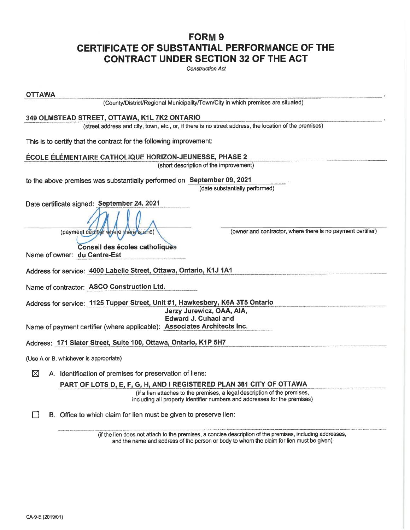### FORM<sub>9</sub> CERTIFICATE OF SUBSTANTIAL PERFORMANCE OF THE **CONTRACT UNDER SECTION 32 OF THE ACT**

**Construction Act** 

| <b>OTTAWA</b>                                                                                                                                                                                         |
|-------------------------------------------------------------------------------------------------------------------------------------------------------------------------------------------------------|
| (County/District/Regional Municipality/Town/City in which premises are situated)                                                                                                                      |
| 349 OLMSTEAD STREET, OTTAWA, K1L 7K2 ONTARIO                                                                                                                                                          |
| (street address and city, town, etc., or, if there is no street address, the location of the premises)                                                                                                |
| This is to certify that the contract for the following improvement:                                                                                                                                   |
| ÉCOLE ÉLÉMENTAIRE CATHOLIQUE HORIZON-JEUNESSE, PHASE 2                                                                                                                                                |
| (short description of the improvement)                                                                                                                                                                |
| to the above premises was substantially performed on September 09, 2021<br>(date substantially performed)                                                                                             |
| Date certificate signed: September 24, 2021                                                                                                                                                           |
| (owner and contractor, where there is no payment certifier)<br>(payment ceptible where there's one)                                                                                                   |
| Conseil des écoles catholiques                                                                                                                                                                        |
| Name of owner: du Centre-Est                                                                                                                                                                          |
| Address for service: 4000 Labelle Street, Ottawa, Ontario, K1J 1A1                                                                                                                                    |
| Name of contractor: ASCO Construction Ltd.                                                                                                                                                            |
| Address for service: 1125 Tupper Street, Unit #1, Hawkesbery, K6A 3T5 Ontario                                                                                                                         |
| Jerzy Jurewicz, OAA, AIA,<br><b>Edward J. Cuhaci and</b>                                                                                                                                              |
| Name of payment certifier (where applicable): Associates Architects Inc.                                                                                                                              |
|                                                                                                                                                                                                       |
| Address: 171 Slater Street, Suite 100, Ottawa, Ontario, K1P 5H7                                                                                                                                       |
| (Use A or B, whichever is appropriate)                                                                                                                                                                |
| ⊠<br>A. Identification of premises for preservation of liens:                                                                                                                                         |
| PART OF LOTS D, E, F, G, H, AND I REGISTERED PLAN 381 CITY OF OTTAWA                                                                                                                                  |
| (if a lien attaches to the premises, a legal description of the premises,<br>including all property identifier numbers and addresses for the premises)                                                |
| B. Office to which claim for lien must be given to preserve lien:                                                                                                                                     |
| (if the lien does not attach to the premises, a concise description of the premises, including addresses,<br>and the name and address of the person or body to whom the claim for lien must be given) |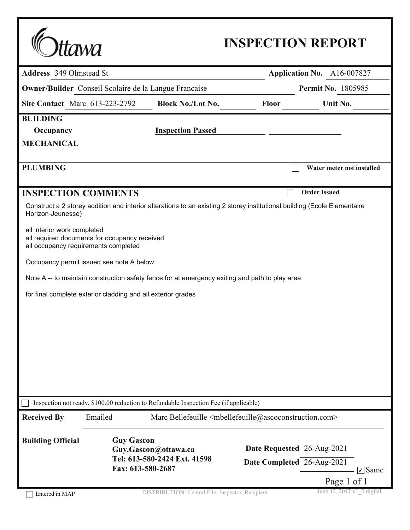|                                       | tawa                                                                                  |                                                                                                                          |                            | <b>INSPECTION REPORT</b>                                 |  |
|---------------------------------------|---------------------------------------------------------------------------------------|--------------------------------------------------------------------------------------------------------------------------|----------------------------|----------------------------------------------------------|--|
| <b>Address</b> 349 Olmstead St        |                                                                                       |                                                                                                                          | Application No. A16-007827 |                                                          |  |
|                                       |                                                                                       | <b>Owner/Builder</b> Conseil Scolaire de la Langue Francaise                                                             |                            | <b>Permit No. 1805985</b>                                |  |
| <b>Site Contact</b> Marc 613-223-2792 |                                                                                       | <b>Block No./Lot No.</b>                                                                                                 | <b>Floor</b>               | Unit No.                                                 |  |
| <b>BUILDING</b>                       |                                                                                       |                                                                                                                          |                            |                                                          |  |
| Occupancy                             |                                                                                       | <b>Inspection Passed</b>                                                                                                 |                            |                                                          |  |
| <b>MECHANICAL</b>                     |                                                                                       |                                                                                                                          |                            |                                                          |  |
| <b>PLUMBING</b>                       |                                                                                       |                                                                                                                          |                            | Water meter not installed                                |  |
| <b>INSPECTION COMMENTS</b>            |                                                                                       |                                                                                                                          |                            | <b>Order Issued</b>                                      |  |
| Horizon-Jeunesse)                     |                                                                                       | Construct a 2 storey addition and interior alterations to an existing 2 storey institutional building (Ecole Elementaire |                            |                                                          |  |
| all interior work completed           | all required documents for occupancy received<br>all occupancy requirements completed |                                                                                                                          |                            |                                                          |  |
|                                       | Occupancy permit issued see note A below                                              |                                                                                                                          |                            |                                                          |  |
|                                       |                                                                                       | Note A -- to maintain construction safety fence for at emergency exiting and path to play area                           |                            |                                                          |  |
|                                       | for final complete exterior cladding and all exterior grades                          |                                                                                                                          |                            |                                                          |  |
|                                       |                                                                                       |                                                                                                                          |                            |                                                          |  |
|                                       |                                                                                       |                                                                                                                          |                            |                                                          |  |
|                                       |                                                                                       |                                                                                                                          |                            |                                                          |  |
|                                       |                                                                                       |                                                                                                                          |                            |                                                          |  |
|                                       |                                                                                       |                                                                                                                          |                            |                                                          |  |
|                                       |                                                                                       |                                                                                                                          |                            |                                                          |  |
|                                       |                                                                                       |                                                                                                                          |                            |                                                          |  |
|                                       |                                                                                       | Inspection not ready, \$100.00 reduction to Refundable Inspection Fee (if applicable)                                    |                            |                                                          |  |
| <b>Received By</b>                    | Emailed                                                                               | Marc Bellefeuille <mbellefeuille@ascoconstruction.com></mbellefeuille@ascoconstruction.com>                              |                            |                                                          |  |
| <b>Building Official</b>              | <b>Guy Gascon</b>                                                                     | Guy.Gascon@ottawa.ca<br>Tel: 613-580-2424 Ext. 41598                                                                     |                            | Date Requested 26-Aug-2021<br>Date Completed 26-Aug-2021 |  |
|                                       |                                                                                       | Fax: 613-580-2687                                                                                                        |                            | $\sqrt{\ }$ Same                                         |  |
| Entered in MAP                        |                                                                                       | DISTRIBUTION: Central File, Inspector, Recipient                                                                         |                            | Page 1 of 1<br>June 12, 2017 v1 0 digital                |  |